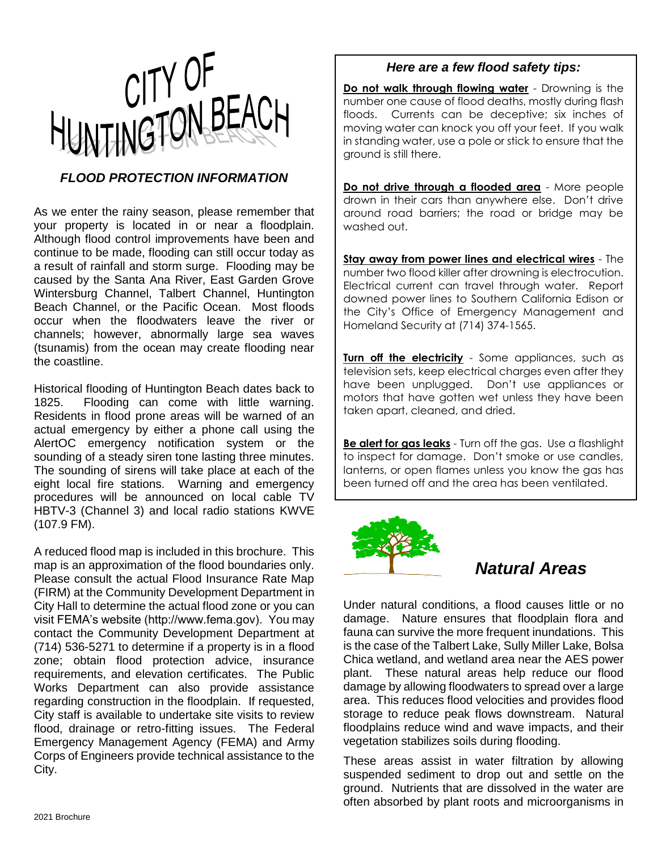

### *FLOOD PROTECTION INFORMATION*

As we enter the rainy season, please remember that your property is located in or near a floodplain. Although flood control improvements have been and continue to be made, flooding can still occur today as a result of rainfall and storm surge. Flooding may be caused by the Santa Ana River, East Garden Grove Wintersburg Channel, Talbert Channel, Huntington Beach Channel, or the Pacific Ocean. Most floods occur when the floodwaters leave the river or channels; however, abnormally large sea waves (tsunamis) from the ocean may create flooding near the coastline.

Historical flooding of Huntington Beach dates back to 1825. Flooding can come with little warning. Residents in flood prone areas will be warned of an actual emergency by either a phone call using the AlertOC emergency notification system or the sounding of a steady siren tone lasting three minutes. The sounding of sirens will take place at each of the eight local fire stations. Warning and emergency procedures will be announced on local cable TV HBTV-3 (Channel 3) and local radio stations KWVE (107.9 FM).

A reduced flood map is included in this brochure. This map is an approximation of the flood boundaries only. Please consult the actual Flood Insurance Rate Map (FIRM) at the Community Development Department in City Hall to determine the actual flood zone or you can visit FEMA's website (http://www.fema.gov). You may contact the Community Development Department at (714) 536-5271 to determine if a property is in a flood zone; obtain flood protection advice, insurance requirements, and elevation certificates. The Public Works Department can also provide assistance regarding construction in the floodplain. If requested, City staff is available to undertake site visits to review flood, drainage or retro-fitting issues. The Federal Emergency Management Agency (FEMA) and Army Corps of Engineers provide technical assistance to the City.

#### *Here are a few flood safety tips:*

**Do not walk through flowing water** - Drowning is the number one cause of flood deaths, mostly during flash floods. Currents can be deceptive; six inches of moving water can knock you off your feet. If you walk in standing water, use a pole or stick to ensure that the ground is still there.

**Do not drive through a flooded area** - More people drown in their cars than anywhere else. Don't drive around road barriers; the road or bridge may be washed out.

**Stay away from power lines and electrical wires** - The number two flood killer after drowning is electrocution. Electrical current can travel through water. Report downed power lines to Southern California Edison or the City's Office of Emergency Management and Homeland Security at (714) 374-1565.

**Turn off the electricity** - Some appliances, such as television sets, keep electrical charges even after they have been unplugged. Don't use appliances or motors that have gotten wet unless they have been taken apart, cleaned, and dried.

**Be alert for gas leaks** - Turn off the gas. Use a flashlight to inspect for damage. Don't smoke or use candles, lanterns, or open flames unless you know the gas has been turned off and the area has been ventilated.



# *Natural Areas*

Under natural conditions, a flood causes little or no damage. Nature ensures that floodplain flora and fauna can survive the more frequent inundations. This is the case of the Talbert Lake, Sully Miller Lake, Bolsa Chica wetland, and wetland area near the AES power plant. These natural areas help reduce our flood damage by allowing floodwaters to spread over a large area. This reduces flood velocities and provides flood storage to reduce peak flows downstream. Natural floodplains reduce wind and wave impacts, and their vegetation stabilizes soils during flooding.

These areas assist in water filtration by allowing suspended sediment to drop out and settle on the ground. Nutrients that are dissolved in the water are often absorbed by plant roots and microorganisms in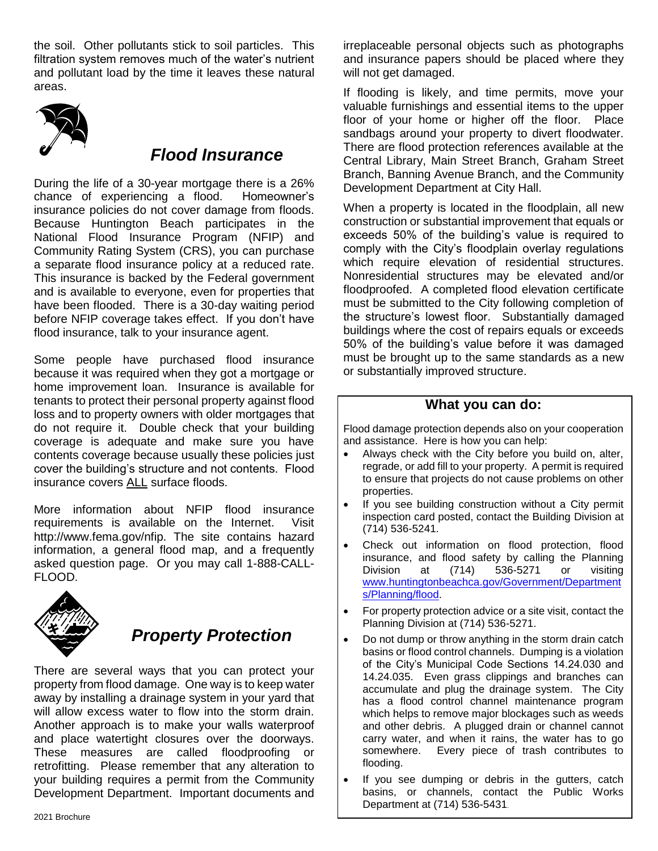the soil. Other pollutants stick to soil particles. This filtration system removes much of the water's nutrient and pollutant load by the time it leaves these natural areas.



## *Flood Insurance*

During the life of a 30-year mortgage there is a 26% chance of experiencing a flood. Homeowner's insurance policies do not cover damage from floods. Because Huntington Beach participates in the National Flood Insurance Program (NFIP) and Community Rating System (CRS), you can purchase a separate flood insurance policy at a reduced rate. This insurance is backed by the Federal government and is available to everyone, even for properties that have been flooded. There is a 30-day waiting period before NFIP coverage takes effect. If you don't have flood insurance, talk to your insurance agent.

Some people have purchased flood insurance because it was required when they got a mortgage or home improvement loan. Insurance is available for tenants to protect their personal property against flood loss and to property owners with older mortgages that do not require it. Double check that your building coverage is adequate and make sure you have contents coverage because usually these policies just cover the building's structure and not contents. Flood insurance covers ALL surface floods.

More information about NFIP flood insurance requirements is available on the Internet. Visit http://www.fema.gov/nfip. The site contains hazard information, a general flood map, and a frequently asked question page. Or you may call 1-888-CALL-FLOOD.



# *Property Protection*

There are several ways that you can protect your property from flood damage. One way is to keep water away by installing a drainage system in your yard that will allow excess water to flow into the storm drain. Another approach is to make your walls waterproof and place watertight closures over the doorways. These measures are called floodproofing or retrofitting. Please remember that any alteration to your building requires a permit from the Community Development Department. Important documents and

irreplaceable personal objects such as photographs and insurance papers should be placed where they will not get damaged.

If flooding is likely, and time permits, move your valuable furnishings and essential items to the upper floor of your home or higher off the floor. Place sandbags around your property to divert floodwater. There are flood protection references available at the Central Library, Main Street Branch, Graham Street Branch, Banning Avenue Branch, and the Community Development Department at City Hall.

When a property is located in the floodplain, all new construction or substantial improvement that equals or exceeds 50% of the building's value is required to comply with the City's floodplain overlay regulations which require elevation of residential structures. Nonresidential structures may be elevated and/or floodproofed. A completed flood elevation certificate must be submitted to the City following completion of the structure's lowest floor. Substantially damaged buildings where the cost of repairs equals or exceeds 50% of the building's value before it was damaged must be brought up to the same standards as a new or substantially improved structure.

### **What you can do:**

Flood damage protection depends also on your cooperation and assistance. Here is how you can help:

- Always check with the City before you build on, alter, regrade, or add fill to your property. A permit is required to ensure that projects do not cause problems on other properties.
- If you see building construction without a City permit inspection card posted, contact the Building Division at (714) 536-5241.
- Check out information on flood protection, flood insurance, and flood safety by calling the Planning Division at (714) 536-5271 or visiting [www.huntingtonbeachca.gov/Government/Department](http://www.huntingtonbeachca.gov/Government/Departments/Planning/flood) [s/Planning/flood.](http://www.huntingtonbeachca.gov/Government/Departments/Planning/flood)
- For property protection advice or a site visit, contact the Planning Division at (714) 536-5271.
- Do not dump or throw anything in the storm drain catch basins or flood control channels. Dumping is a violation of the City's Municipal Code Sections 14.24.030 and 14.24.035. Even grass clippings and branches can accumulate and plug the drainage system. The City has a flood control channel maintenance program which helps to remove major blockages such as weeds and other debris. A plugged drain or channel cannot carry water, and when it rains, the water has to go somewhere. Every piece of trash contributes to flooding.
- If you see dumping or debris in the gutters, catch basins, or channels, contact the Public Works Department at (714) 536-5431.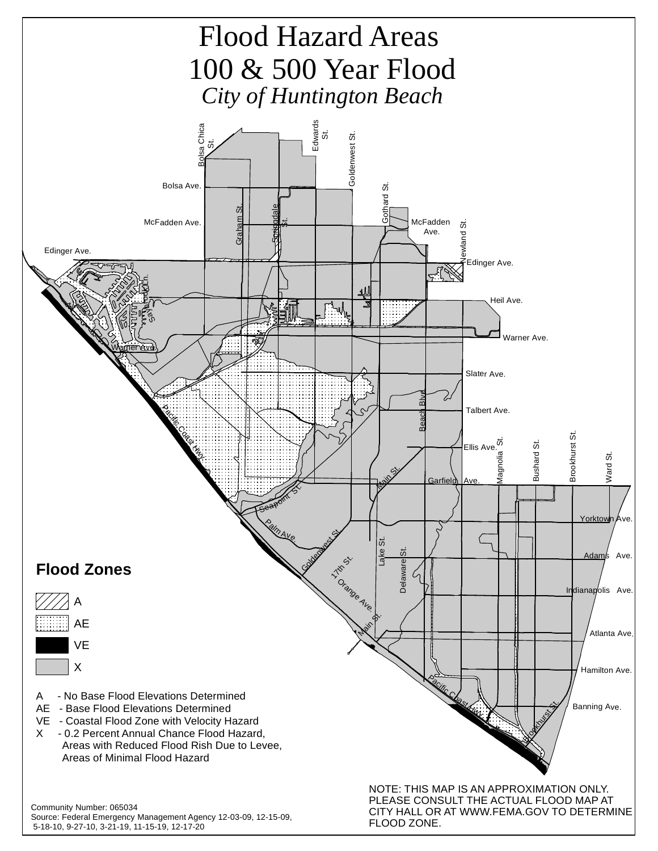